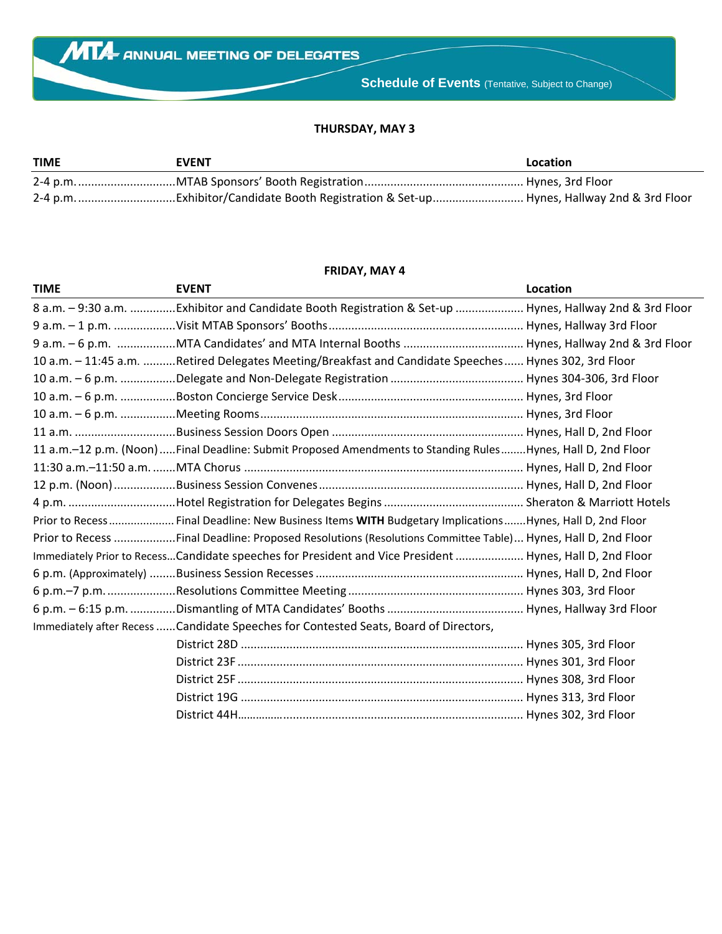## **THURSDAY, MAY 3**

| <b>TIME</b> | <b>EVENT</b> | <b>Location</b> |
|-------------|--------------|-----------------|
|             |              |                 |
|             |              |                 |

## **FRIDAY, MAY 4**

| <b>TIME</b> | <b>EVENT</b>                                                                                                | Location |
|-------------|-------------------------------------------------------------------------------------------------------------|----------|
|             | 8 a.m. - 9:30 a.m.  Exhibitor and Candidate Booth Registration & Set-up  Hynes, Hallway 2nd & 3rd Floor     |          |
|             |                                                                                                             |          |
|             |                                                                                                             |          |
|             | 10 a.m. - 11:45 a.m. Retired Delegates Meeting/Breakfast and Candidate Speeches Hynes 302, 3rd Floor        |          |
|             |                                                                                                             |          |
|             |                                                                                                             |          |
|             |                                                                                                             |          |
|             |                                                                                                             |          |
|             | 11 a.m.-12 p.m. (Noon)Final Deadline: Submit Proposed Amendments to Standing RulesHynes, Hall D, 2nd Floor  |          |
|             |                                                                                                             |          |
|             |                                                                                                             |          |
|             |                                                                                                             |          |
|             | Prior to Recess  Final Deadline: New Business Items WITH Budgetary Implications  Hynes, Hall D, 2nd Floor   |          |
|             | Prior to Recess Final Deadline: Proposed Resolutions (Resolutions Committee Table) Hynes, Hall D, 2nd Floor |          |
|             | Immediately Prior to RecessCandidate speeches for President and Vice President  Hynes, Hall D, 2nd Floor    |          |
|             |                                                                                                             |          |
|             |                                                                                                             |          |
|             |                                                                                                             |          |
|             | Immediately after Recess  Candidate Speeches for Contested Seats, Board of Directors,                       |          |
|             |                                                                                                             |          |
|             |                                                                                                             |          |
|             |                                                                                                             |          |
|             |                                                                                                             |          |
|             |                                                                                                             |          |